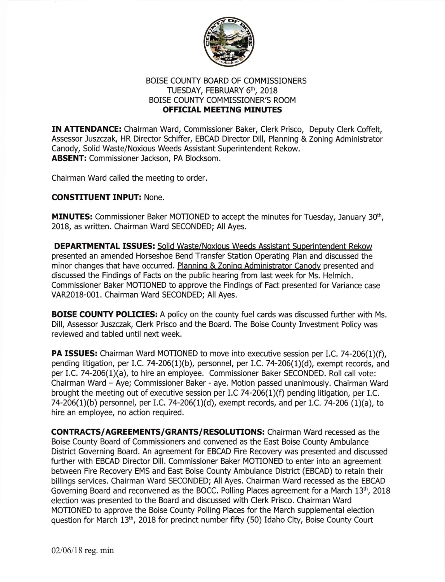

## BOISE COUNTY BOARD OF COMMISSIONERS TUESDAY, FEBRUARY 6<sup>th</sup>, 2018 BOISE COUNTY COMMISSIONER'S ROOM **OFFICIAL MEETING MINUTES**

IN ATTENDANCE: Chairman Ward, Commissioner Baker, Clerk Prisco, Deputy Clerk Coffelt, Assessor Juszczak, HR Director Schiffer, EBCAD Director Dill, Planning & Zoning Administrator Canody, Solid Waste/Noxious Weeds Assistant Superintendent Rekow. ABSENT: Commissioner Jackson, PA Blocksom.

Chairman Ward called the meeting to order.

## CONSTITUENT INPUT: None.

**MINUTES:** Commissioner Baker MOTIONED to accept the minutes for Tuesday, January 30<sup>th</sup>, 2018, as written. Chairman Ward SECONDED; All Ayes.

DEPARTMENTAL ISSUES: Solid Waste/Noxious Weeds Assistant Suoerintendent Rekow presented an amended Horseshoe Bend Transfer Station Operating Plan and discussed the minor changes that have occurred. Planning & Zoning Administrator Canody presented and discussed the Findings of Facts on the public hearing from last week for Ms. Helmich. Commissioner Baker MOTIONED to approve the Findings of Fact presented for Variance case VAR2018-001. Chairman Ward SECONDED; All Ayes.

**BOISE COUNTY POLICIES:** A policy on the county fuel cards was discussed further with Ms. Dill, Assessor Juszczak, Clerk Prisco and the Board. The Boise County Investment Policy was reviewed and tabled until next week.

**PA ISSUES:** Chairman Ward MOTIONED to move into executive session per I.C. 74-206(1)(f), pending litigation, per I.C. 74-206(1)(b), personnel, per I.C. 74-206(1)(d), exempt records, and per I.C. 74-206(1)(a), to hire an employee. Commissioner Baker SECONDED. Roll call vote: Chairman Ward - Aye; Commissioner Baker - aye. Motion passed unanimously. Chairman Ward brought the meeting out of executive session per I.C 74-206(1)(f) pending litigation, per I.C. 74-206(1)(b) personnel, per I.C. 74-206(1)(d), exempt records, and per I.C. 74-206 (1)(a), to hire an employee, no action required.

CONTRACTS/AGREEMENTS/GRANTS/RESOLUTIONS: Chairman Ward recessed as the Boise County Board of Commissioners and convened as the East Boise County Ambulance District Governing Board. An agreement for EBCAD Fire Recovery was presented and discussed fufther with EBCAD Director Dill. Commissioner Baker MOTIONED to enter into an agreement between Fire Recovery EMS and East Boise County Ambulance District (EBCAD) to retain their billings services. Chairman Ward SECONDED; All Ayes. Chairman Ward recessed as the EBCAD Governing Board and reconvened as the BOCC. Polling Places agreement for a March 13<sup>th</sup>, 2018 election was presented to the Board and discussed with Clerk Prisco. Chairman Ward MOTIONED to approve the Boise County Polling Places for the March supplemental election question for March 13<sup>th</sup>, 2018 for precinct number fifty (50) Idaho City, Boise County Court